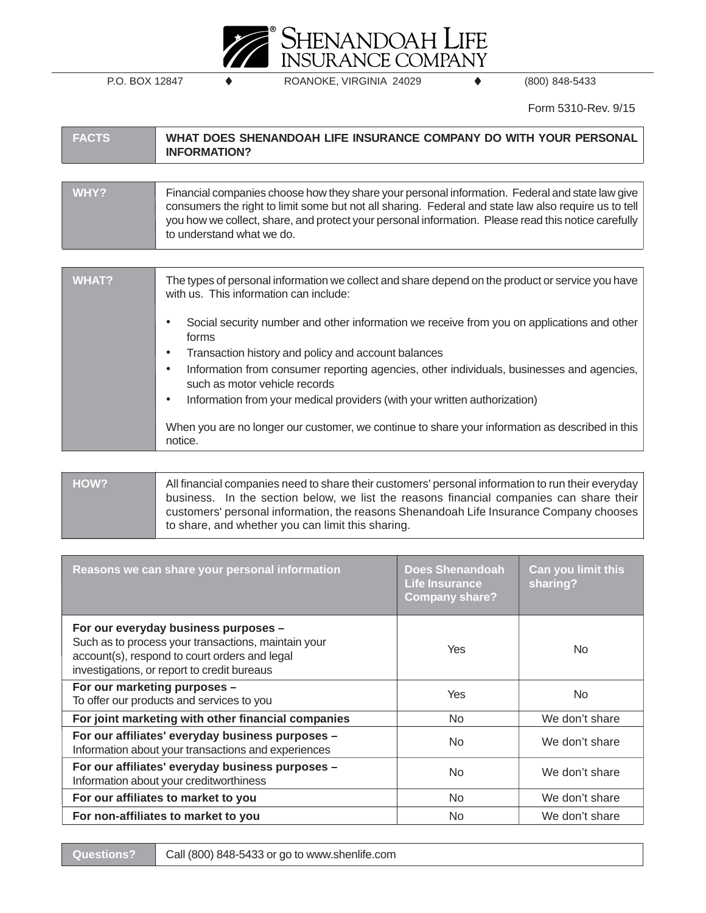

P.O. BOX 12847 ♦ ROANOKE, VIRGINIA 24029 ♦ (800) 848-5433

Form 5310-Rev. 9/15

| <b>FACTS</b> | WHAT DOES SHENANDOAH LIFE INSURANCE COMPANY DO WITH YOUR PERSONAL<br><b>INFORMATION?</b>                                                                                                                                                                                                                                                    |
|--------------|---------------------------------------------------------------------------------------------------------------------------------------------------------------------------------------------------------------------------------------------------------------------------------------------------------------------------------------------|
|              |                                                                                                                                                                                                                                                                                                                                             |
| WHY?         | Financial companies choose how they share your personal information. Federal and state law give<br>consumers the right to limit some but not all sharing. Federal and state law also require us to tell<br>you how we collect, share, and protect your personal information. Please read this notice carefully<br>to understand what we do. |
|              |                                                                                                                                                                                                                                                                                                                                             |
| WHAT?        | The types of personal information we collect and share depend on the product or service you have<br>with us. This information can include:                                                                                                                                                                                                  |
|              | Social security number and other information we receive from you on applications and other<br>$\bullet$<br>forms                                                                                                                                                                                                                            |
|              | Transaction history and policy and account balances<br>$\bullet$                                                                                                                                                                                                                                                                            |

- Information from consumer reporting agencies, other individuals, businesses and agencies, such as motor vehicle records
- Information from your medical providers (with your written authorization)

When you are no longer our customer, we continue to share your information as described in this notice.

**HOW?** All financial companies need to share their customers' personal information to run their everyday business. In the section below, we list the reasons financial companies can share their customers' personal information, the reasons Shenandoah Life Insurance Company chooses to share, and whether you can limit this sharing.

| Reasons we can share your personal information                                                                                                                                              | <b>Does Shenandoah</b><br><b>Life Insurance</b><br><b>Company share?</b> | <b>Can you limit this</b><br>sharing? |
|---------------------------------------------------------------------------------------------------------------------------------------------------------------------------------------------|--------------------------------------------------------------------------|---------------------------------------|
| For our everyday business purposes -<br>Such as to process your transactions, maintain your<br>account(s), respond to court orders and legal<br>investigations, or report to credit bureaus | Yes                                                                      | No.                                   |
| For our marketing purposes -<br>To offer our products and services to you                                                                                                                   | <b>Yes</b>                                                               | No.                                   |
| For joint marketing with other financial companies                                                                                                                                          | No.                                                                      | We don't share                        |
| For our affiliates' everyday business purposes -<br>Information about your transactions and experiences                                                                                     | No.                                                                      | We don't share                        |
| For our affiliates' everyday business purposes -<br>Information about your creditworthiness                                                                                                 | <b>No</b>                                                                | We don't share                        |
| For our affiliates to market to you                                                                                                                                                         | No.                                                                      | We don't share                        |
| For non-affiliates to market to you                                                                                                                                                         | No.                                                                      | We don't share                        |